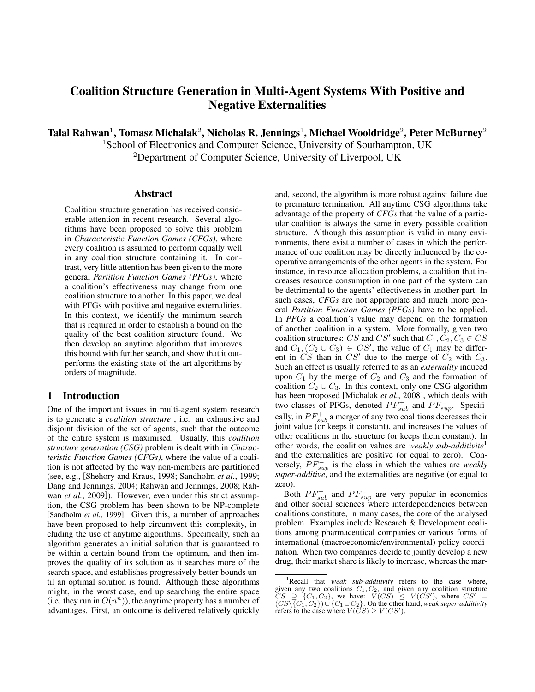# Coalition Structure Generation in Multi-Agent Systems With Positive and Negative Externalities

Talal Rahwan $^1$ , Tomasz Michalak $^2$ , Nicholas R. Jennings $^1$ , Michael Wooldridge $^2$ , Peter McBurney $^2$ 

<sup>1</sup>School of Electronics and Computer Science, University of Southampton, UK

<sup>2</sup>Department of Computer Science, University of Liverpool, UK

#### Abstract

Coalition structure generation has received considerable attention in recent research. Several algorithms have been proposed to solve this problem in *Characteristic Function Games (CFGs)*, where every coalition is assumed to perform equally well in any coalition structure containing it. In contrast, very little attention has been given to the more general *Partition Function Games (PFGs)*, where a coalition's effectiveness may change from one coalition structure to another. In this paper, we deal with PFGs with positive and negative externalities. In this context, we identify the minimum search that is required in order to establish a bound on the quality of the best coalition structure found. We then develop an anytime algorithm that improves this bound with further search, and show that it outperforms the existing state-of-the-art algorithms by orders of magnitude.

# 1 Introduction

One of the important issues in multi-agent system research is to generate a *coalition structure* , i.e. an exhaustive and disjoint division of the set of agents, such that the outcome of the entire system is maximised. Usually, this *coalition structure generation (CSG)* problem is dealt with in *Characteristic Function Games (CFGs)*, where the value of a coalition is not affected by the way non-members are partitioned (see, e.g., [Shehory and Kraus, 1998; Sandholm *et al.*, 1999; Dang and Jennings, 2004; Rahwan and Jennings, 2008; Rahwan *et al.*, 2009]). However, even under this strict assumption, the CSG problem has been shown to be NP-complete [Sandholm *et al.*, 1999]. Given this, a number of approaches have been proposed to help circumvent this complexity, including the use of anytime algorithms. Specifically, such an algorithm generates an initial solution that is guaranteed to be within a certain bound from the optimum, and then improves the quality of its solution as it searches more of the search space, and establishes progressively better bounds until an optimal solution is found. Although these algorithms might, in the worst case, end up searching the entire space (i.e. they run in  $O(n^n)$ ), the anytime property has a number of advantages. First, an outcome is delivered relatively quickly and, second, the algorithm is more robust against failure due to premature termination. All anytime CSG algorithms take advantage of the property of *CFGs* that the value of a particular coalition is always the same in every possible coalition structure. Although this assumption is valid in many environments, there exist a number of cases in which the performance of one coalition may be directly influenced by the cooperative arrangements of the other agents in the system. For instance, in resource allocation problems, a coalition that increases resource consumption in one part of the system can be detrimental to the agents' effectiveness in another part. In such cases, *CFGs* are not appropriate and much more general *Partition Function Games (PFGs)* have to be applied. In *PFGs* a coalition's value may depend on the formation of another coalition in a system. More formally, given two coalition structures: CS and CS' such that  $C_1, C_2, C_3 \in CS$ and  $C_1$ ,  $(C_2 \cup C_3) \in CS'$ , the value of  $C_1$  may be different in  $CS$  than in  $CS'$  due to the merge of  $C_2$  with  $C_3$ . Such an effect is usually referred to as an *externality* induced upon  $C_1$  by the merge of  $C_2$  and  $C_3$  and the formation of coalition  $C_2 \cup C_3$ . In this context, only one CSG algorithm has been proposed [Michalak *et al.*, 2008], which deals with two classes of PFGs, denoted  $PF_{sub}^+$  and  $PF_{sup}^-$ . Specifically, in  $PF_{sub}^+$  a merger of any two coalitions decreases their joint value (or keeps it constant), and increases the values of other coalitions in the structure (or keeps them constant). In other words, the coalition values are *weakly sub-additivite*<sup>1</sup> and the externalities are positive (or equal to zero). Conversely,  $PF_{sup}^-$  is the class in which the values are *weakly super-additive*, and the externalities are negative (or equal to zero).

Both  $PF_{sub}^+$  and  $PF_{sup}^-$  are very popular in economics and other social sciences where interdependencies between coalitions constitute, in many cases, the core of the analysed problem. Examples include Research & Development coalitions among pharmaceutical companies or various forms of international (macroeconomic/environmental) policy coordination. When two companies decide to jointly develop a new drug, their market share is likely to increase, whereas the mar-

<sup>&</sup>lt;sup>1</sup>Recall that *weak sub-additivity* refers to the case where, given any two coalitions  $C_1, C_2$ , and given any coalition structure  $CS \supseteq \{C_1, C_2\}$ , we have:  $V(CS) \leq V(CS')$ , where  $CS' =$  $(CS \setminus \{C_1, C_2\}) \cup \{C_1 \cup C_2\}$ . On the other hand, *weak super-additivity* refers to the case where  $V(CS) \ge V(CS')$ .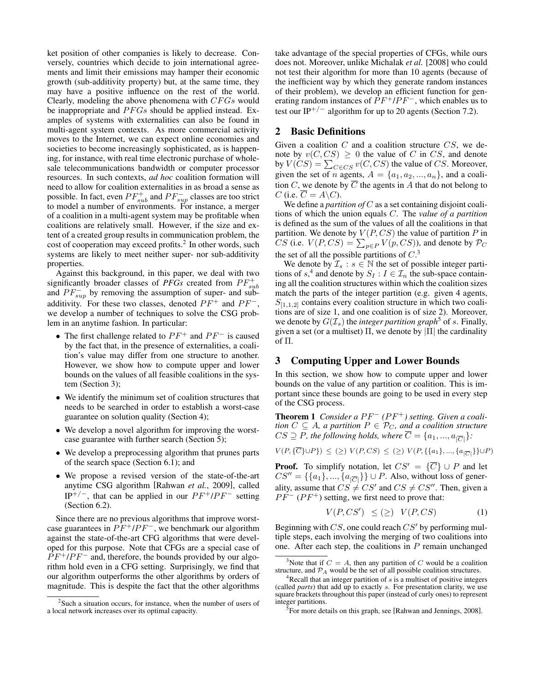ket position of other companies is likely to decrease. Conversely, countries which decide to join international agreements and limit their emissions may hamper their economic growth (sub-additivity property) but, at the same time, they may have a positive influence on the rest of the world. Clearly, modeling the above phenomena with  $CFGs$  would be inappropriate and  $PFGs$  should be applied instead. Examples of systems with externalities can also be found in multi-agent system contexts. As more commercial activity moves to the Internet, we can expect online economies and societies to become increasingly sophisticated, as is happening, for instance, with real time electronic purchase of wholesale telecommunications bandwidth or computer processor resources. In such contexts, *ad hoc* coalition formation will need to allow for coalition externalities in as broad a sense as possible. In fact, even  $PF^+_{sub}$  and  $PF^-_{sup}$  classes are too strict to model a number of environments. For instance, a merger of a coalition in a multi-agent system may be profitable when coalitions are relatively small. However, if the size and extent of a created group results in communication problem, the cost of cooperation may exceed profits.<sup>2</sup> In other words, such systems are likely to meet neither super- nor sub-additivity properties.

Against this background, in this paper, we deal with two significantly broader classes of  $PFGs$  created from  $PF_{sub}^+$ and  $PF_{sup}^-$  by removing the assumption of super- and subadditivity. For these two classes, denoted  $PF^+$  and  $PF^-$ , we develop a number of techniques to solve the CSG problem in an anytime fashion. In particular:

- The first challenge related to  $PF^+$  and  $PF^-$  is caused by the fact that, in the presence of externalities, a coalition's value may differ from one structure to another. However, we show how to compute upper and lower bounds on the values of all feasible coalitions in the system (Section 3);
- We identify the minimum set of coalition structures that needs to be searched in order to establish a worst-case guarantee on solution quality (Section 4);
- We develop a novel algorithm for improving the worstcase guarantee with further search (Section 5);
- We develop a preprocessing algorithm that prunes parts of the search space (Section 6.1); and
- We propose a revised version of the state-of-the-art anytime CSG algorithm [Rahwan *et al.*, 2009], called IP<sup>+/-</sup>, that can be applied in our  $PF^+/PF^-$  setting (Section 6.2).

Since there are no previous algorithms that improve worstcase guarantees in  $PF^+/PF^-$ , we benchmark our algorithm against the state-of-the-art CFG algorithms that were developed for this purpose. Note that CFGs are a special case of  $PF^{+}/PF^{-}$  and, therefore, the bounds provided by our algorithm hold even in a CFG setting. Surprisingly, we find that our algorithm outperforms the other algorithms by orders of magnitude. This is despite the fact that the other algorithms take advantage of the special properties of CFGs, while ours does not. Moreover, unlike Michalak *et al.* [2008] who could not test their algorithm for more than 10 agents (because of the inefficient way by which they generate random instances of their problem), we develop an efficient function for generating random instances of  $PF^+/PF^-$ , which enables us to test our IP<sup>+/−</sup> algorithm for up to 20 agents (Section 7.2).

# 2 Basic Definitions

Given a coalition  $C$  and a coalition structure  $CS$ , we denote by  $v(C, CS) \geq 0$  the value of C in CS, and denote by  $V(CS) = \sum_{C \in CS} v(C, CS)$  the value of CS. Moreover, given the set of *n* agents,  $A = \{a_1, a_2, ..., a_n\}$ , and a coalition C, we denote by  $\overline{C}$  the agents in A that do not belong to C (i.e.  $C = A \backslash C$ ).

We define a *partition of* C as a set containing disjoint coalitions of which the union equals C. The *value of a partition* is defined as the sum of the values of all the coalitions in that partition. We denote by  $V(P, CS)$  the value of partition P in CS (i.e.  $V(P, CS) = \sum_{p \in P} V(p, CS)$ ), and denote by  $P_C$ the set of all the possible partitions of  $C<sup>3</sup>$ 

We denote by  $\mathcal{I}_s : s \in \mathbb{N}$  the set of possible integer partitions of  $s^4$  and denote by  $S_I : I \in \mathcal{I}_n$  the sub-space containing all the coalition structures within which the coalition sizes match the parts of the integer partition (e.g. given 4 agents,  $S_{[1,1,2]}$  contains every coalition structure in which two coalitions are of size 1, and one coalition is of size 2). Moreover, we denote by  $G(\mathcal{I}_s)$  the *integer partition graph*<sup>5</sup> of s. Finally, given a set (or a multiset)  $\Pi$ , we denote by  $\Pi$  the cardinality of Π.

# 3 Computing Upper and Lower Bounds

In this section, we show how to compute upper and lower bounds on the value of any partition or coalition. This is important since these bounds are going to be used in every step of the CSG process.

Theorem 1 *Consider a PF<sup>−</sup> (PF<sup>+</sup>) setting. Given a coalition*  $C \subseteq A$ *, a partition*  $P \in \mathcal{P}_C$ *, and a coalition structure*  $CS \supseteq P$ , the following holds, where  $C = \{a_1, ..., a_{|\overline{C}|}\}$ :

$$
V(P, \{\overline{C}\} \cup P\}) \le (\ge) V(P, CS) \le (\ge) V(P, \{\{a_1\}, ..., \{a_{|\overline{C}|}\}\} \cup P)
$$

**Proof.** To simplify notation, let  $CS' = {\overline{C}} \cup P$  and let  $CS'' = \{\{a_1\}, ..., \{a_{|\overline{C}|}\}\} \cup P$ . Also, without loss of generality, assume that  $CS \neq CS'$  and  $CS \neq CS''$ . Then, given a  $PF^{-}(PF^{+})$  setting, we first need to prove that:

$$
V(P, CS') \leq (\geq) V(P, CS) \tag{1}
$$

Beginning with  $CS$ , one could reach  $CS'$  by performing multiple steps, each involving the merging of two coalitions into one. After each step, the coalitions in  $P$  remain unchanged

 $2$ Such a situation occurs, for instance, when the number of users of a local network increases over its optimal capacity.

<sup>&</sup>lt;sup>3</sup>Note that if  $C = A$ , then any partition of C would be a coalition structure, and  $P_A$  would be the set of all possible coalition structures.

 $4$ Recall that an integer partition of s is a multiset of positive integers (called *parts*) that add up to exactly s. For presentation clarity, we use square brackets throughout this paper (instead of curly ones) to represent integer partitions.

<sup>&</sup>lt;sup>5</sup> For more details on this graph, see [Rahwan and Jennings, 2008].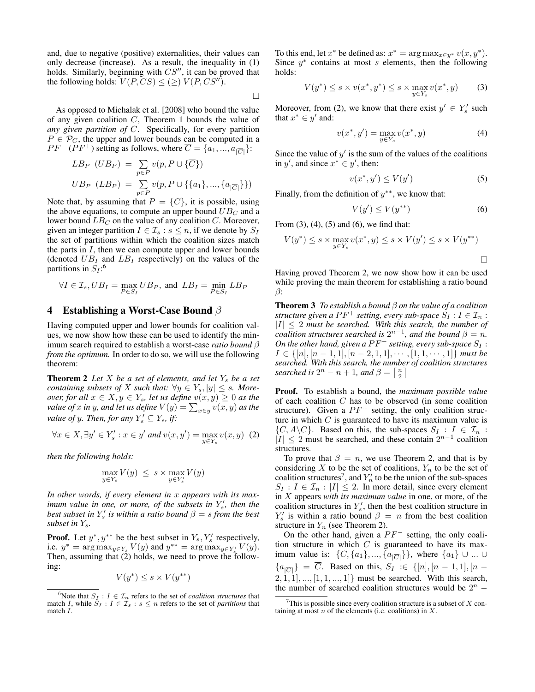and, due to negative (positive) externalities, their values can only decrease (increase). As a result, the inequality in (1) holds. Similarly, beginning with  $CS''$ , it can be proved that the following holds:  $V(P, CS) \leq (\geq) V(P, CS'')$ .

 $\Box$ 

As opposed to Michalak et al. [2008] who bound the value of any given coalition  $C$ , Theorem 1 bounds the value of *any given partition of* C. Specifically, for every partition  $P \in \mathcal{P}_C$ , the upper and lower bounds can be computed in a  $PF^{-}(PF^{+})$  setting as follows, where  $\overline{C} = \{a_1, ..., a_{|\overline{C}|}\}\$ :

$$
LB_{P} (UB_{P}) = \sum_{p \in P} v(p, P \cup \{\overline{C}\})
$$
  

$$
UB_{P} (LB_{P}) = \sum_{p \in P} v(p, P \cup \{\{a_{1}\}, ..., \{a_{|\overline{C}|}\}\})
$$

Note that, by assuming that  $P = \{C\}$ , it is possible, using the above equations, to compute an upper bound  $UB_C$  and a lower bound  $LB_C$  on the value of any coalition C. Moreover, given an integer partition  $I \in \mathcal{I}_s : s \leq n$ , if we denote by  $S_I$ the set of partitions within which the coalition sizes match the parts in  $I$ , then we can compute upper and lower bounds (denoted  $UB_I$  and  $LB_I$  respectively) on the values of the partitions in  $S_I$ :<sup>6</sup>

$$
\forall I \in \mathcal{I}_s, UB_I = \max_{P \in S_I} UB_P, \text{ and } LB_I = \min_{P \in S_I} LB_P
$$

#### 4 Establishing a Worst-Case Bound  $\beta$

Having computed upper and lower bounds for coalition values, we now show how these can be used to identify the minimum search required to establish a worst-case *ratio bound* β *from the optimum.* In order to do so, we will use the following theorem:

**Theorem 2** Let  $X$  be a set of elements, and let  $Y_s$  be a set *containing subsets of* X *such that:*  $\forall y \in Y_s, |y| \leq s$ *. Moreover, for all*  $x \in X, y \in Y_s$ *, let us define*  $v(x, y) \geq 0$  *as the value of*  $x$  *in*  $y$ *, and let us define*  $V(y) = \sum_{x \in y} v(x, y)$  *as the value of y. Then, for any*  $Y_s' \subseteq Y_s$ *, if:* 

$$
\forall x \in X, \exists y' \in Y_s' : x \in y' \text{ and } v(x, y') = \max_{y \in Y_s} v(x, y) \tag{2}
$$

*then the following holds:*

$$
\max_{y \in Y_s} V(y) \leq s \times \max_{y \in Y'_s} V(y)
$$

*In other words, if every element in* x *appears with its maximum value in one, or more, of the subsets in*  $Y_s'$ , then the *best subset in*  $Y_s'$  *is within a ratio bound*  $\beta = s$  *from the best subset in* Ys*.*

**Proof.** Let  $y^*$ ,  $y^{**}$  be the best subset in  $Y_s$ ,  $Y'_s$  respectively, i.e.  $y^* = \arg \max_{y \in Y_s} V(y)$  and  $y^{**} = \arg \max_{y \in Y_s'} V(y)$ . Then, assuming that  $(2)$  holds, we need to prove the following:

$$
V(y^*) \le s \times V(y^{**})
$$

To this end, let  $x^*$  be defined as:  $x^* = \arg \max_{x \in y^*} v(x, y^*)$ . Since  $y^*$  contains at most s elements, then the following holds:

$$
V(y^*) \le s \times v(x^*, y^*) \le s \times \max_{y \in Y_s} v(x^*, y) \tag{3}
$$

Moreover, from (2), we know that there exist  $y' \in Y'_s$  such that  $x^* \in y'$  and:

$$
v(x^*, y') = \max_{y \in Y_s} v(x^*, y)
$$
 (4)

Since the value of  $y'$  is the sum of the values of the coalitions in y', and since  $x^* \in y'$ , then:

$$
v(x^*, y') \le V(y')\tag{5}
$$

Finally, from the definition of  $y^{**}$ , we know that:

$$
V(y') \le V(y^{**})\tag{6}
$$

From  $(3)$ ,  $(4)$ ,  $(5)$  and  $(6)$ , we find that:

$$
V(y^*) \le s \times \max_{y \in Y_s} v(x^*, y) \le s \times V(y') \le s \times V(y^{**})
$$

Having proved Theorem 2, we now show how it can be used while proving the main theorem for establishing a ratio bound  $\beta$ :

Theorem 3 *To establish a bound* β *on the value of a coalition structure given a PF<sup>+</sup> setting, every sub-space*  $S_I : I \in \mathcal{I}_n$ :  $|I| \leq 2$  must be searched. With this search, the number of *coalition structures searched is*  $2^{n-1}$ *, and the bound*  $\beta = n$ *. On the other hand, given a*  $PF^-$  *setting, every sub-space*  $S_I$  :  $I \in \{[n], [n-1, 1], [n-2, 1, 1], \cdots, [1, 1, \cdots, 1]\}$  must be *searched. With this search, the number of coalition structures searched is*  $2^n - n + 1$ *, and*  $\beta = \left\lceil \frac{n}{2} \right\rceil$ 

Proof. To establish a bound, the *maximum possible value* of each coalition  $C$  has to be observed (in some coalition structure). Given a  $PF^+$  setting, the only coalition structure in which  $C$  is guaranteed to have its maximum value is  $\{C, A\backslash C\}$ . Based on this, the sub-spaces  $S_I : I \in \mathcal{I}_n$ :  $|I| \leq 2$  must be searched, and these contain  $2^{n-1}$  coalition structures.

To prove that  $\beta = n$ , we use Theorem 2, and that is by considering X to be the set of coalitions,  $Y_n$  to be the set of coalition structures<sup>7</sup>, and  $Y'_n$  to be the union of the sub-spaces  $S_I : I \in \mathcal{I}_n : |I| \leq 2$ . In more detail, since every element in X appears *with its maximum value* in one, or more, of the coalition structures in  $Y'_s$ , then the best coalition structure in  $Y'_s$  is within a ratio bound  $\beta = n$  from the best coalition structure in  $Y_n$  (see Theorem 2).

On the other hand, given a  $PF^-$  setting, the only coalition structure in which  $C$  is guaranteed to have its maximum value is:  $\{C, \{a_1\}, ..., \{a_{|\overline{C}|}\}\}\$ , where  $\{a_1\} \cup ... \cup$  ${a_{|\overline{C}|}\} = \overline{C}$ . Based on this,  $S_I \in \{[n], [n-1,1], [n-1,1]\}$  $2, 1, 1, ..., [1, 1, ..., 1]$  must be searched. With this search, the number of searched coalition structures would be  $2^n$  –

<sup>&</sup>lt;sup>6</sup>Note that  $S_I : I \in \mathcal{I}_n$  refers to the set of *coalition structures* that match I, while  $S_I : I \in \mathcal{I}_s : s \leq n$  refers to the set of *partitions* that match I.

This is possible since every coalition structure is a subset of  $X$  containing at most  $n$  of the elements (i.e. coalitions) in  $X$ .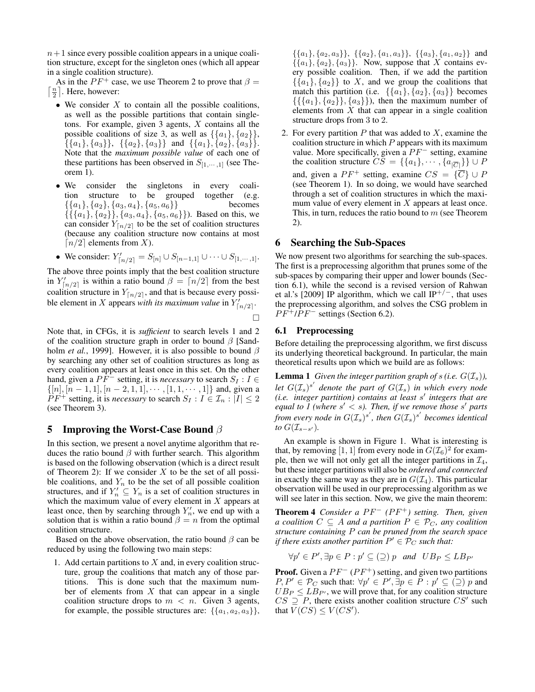$n+1$  since every possible coalition appears in a unique coalition structure, except for the singleton ones (which all appear in a single coalition structure).

As in the  $PF^+$  case, we use Theorem 2 to prove that  $\beta =$  $\lceil \frac{n}{2} \rceil$ . Here, however:

- $\bullet$  We consider  $X$  to contain all the possible coalitions, as well as the possible partitions that contain singletons. For example, given  $3$  agents,  $X$  contains all the possible coalitions of size 3, as well as  $\{\{a_1\}, \{a_2\}\}\,$  $\{\{a_1\}, \{a_3\}\}, \{\{a_2\}, \{a_3\}\}\$  and  $\{\{a_1\}, \{a_2\}, \{a_3\}\}.$ Note that the *maximum possible value* of each one of these partitions has been observed in  $S_{[1,\cdots,1]}$  (see Theorem 1).
- We consider the singletons in every coalition structure to be grouped together (e.g.  $\{\{a_1\}, \{a_2\}, \{a_3, a_4\}, \{a_5, a_6\}\}\$  becomes  $\{\{\{a_1\}, \{a_2\}\}, \{a_3, a_4\}, \{a_5, a_6\}\}\$ . Based on this, we can consider  $Y_{n/2}$  to be the set of coalition structures (because any coalition structure now contains at most  $\lceil n/2 \rceil$  elements from X).
- We consider:  $Y'_{\lceil n/2 \rceil} = S_{\lceil n \rceil} \cup S_{\lceil n-1,1 \rceil} \cup \cdots \cup S_{\lceil 1, \cdots, 1 \rceil}.$

The above three points imply that the best coalition structure in  $Y'_{\lfloor n/2 \rfloor}$  is within a ratio bound  $\beta = \lfloor n/2 \rfloor$  from the best coalition structure in  $Y_{\lceil n/2 \rceil}$ , and that is because every possible element in X appears *with its maximum value* in  $Y'_{\lceil n/2 \rceil}$ .

 $\Box$ 

Note that, in CFGs, it is *sufficient* to search levels 1 and 2 of the coalition structure graph in order to bound  $\beta$  [Sandholm *et al.*, 1999]. However, it is also possible to bound  $\beta$ by searching any other set of coalition structures as long as every coalition appears at least once in this set. On the other hand, given a  $PF^-$  setting, it is *necessary* to search  $S_I : I \in$  $\{[n], [n-1, 1], [n-2, 1, 1], \cdots, [1, 1, \cdots, 1]\}$  and, given a  $\widetilde{P}F^+$  setting, it is *necessary* to search  $S_I : I \in \mathcal{I}_n : |I| \leq 2$ (see Theorem 3).

#### 5 Improving the Worst-Case Bound  $\beta$

In this section, we present a novel anytime algorithm that reduces the ratio bound  $\beta$  with further search. This algorithm is based on the following observation (which is a direct result of Theorem 2): If we consider  $X$  to be the set of all possible coalitions, and  $Y_n$  to be the set of all possible coalition structures, and if  $Y'_n \subseteq Y_n$  is a set of coalition structures in which the maximum value of every element in  $X$  appears at least once, then by searching through  $Y'_n$ , we end up with a solution that is within a ratio bound  $\beta = n$  from the optimal coalition structure.

Based on the above observation, the ratio bound  $\beta$  can be reduced by using the following two main steps:

1. Add certain partitions to  $X$  and, in every coalition structure, group the coalitions that match any of those partitions. This is done such that the maximum number of elements from  $X$  that can appear in a single coalition structure drops to  $m < n$ . Given 3 agents, for example, the possible structures are:  $\{\{a_1, a_2, a_3\}\}\,$   $\{\{a_1\}, \{a_2, a_3\}\}, \{\{a_2\}, \{a_1, a_3\}\}, \{\{a_3\}, \{a_1, a_2\}\}\$ and  $\{\{a_1\}, \{a_2\}, \{a_3\}\}\$ . Now, suppose that X contains every possible coalition. Then, if we add the partition  $\{\{a_1\}, \{a_2\}\}\$  to X, and we group the coalitions that match this partition (i.e.  $\{\{a_1\}, \{a_2\}, \{a_3\}\}\)$  becomes  $\{\{\{a_1\}, \{a_2\}\}, \{a_3\}\}\$ , then the maximum number of elements from  $X$  that can appear in a single coalition structure drops from 3 to 2.

2. For every partition  $P$  that was added to  $X$ , examine the coalition structure in which  $P$  appears with its maximum value. More specifically, given a  $PF^-$  setting, examine the coalition structure  $CS = \{\{a_1\}, \dots, \{a_{|\overline{C}|}\}\} \cup P$ and, given a  $PF^+$  setting, examine  $CS = {\overline{C}} \cup P$ (see Theorem 1). In so doing, we would have searched through a set of coalition structures in which the maximum value of every element in  $X$  appears at least once. This, in turn, reduces the ratio bound to  $m$  (see Theorem 2).

# 6 Searching the Sub-Spaces

We now present two algorithms for searching the sub-spaces. The first is a preprocessing algorithm that prunes some of the sub-spaces by comparing their upper and lower bounds (Section 6.1), while the second is a revised version of Rahwan et al.'s [2009] IP algorithm, which we call IP<sup>+/-</sup>, that uses the preprocessing algorithm, and solves the CSG problem in  $PF^{+}/PF^{-}$  settings (Section 6.2).

#### 6.1 Preprocessing

Before detailing the preprocessing algorithm, we first discuss its underlying theoretical background. In particular, the main theoretical results upon which we build are as follows:

**Lemma 1** *Given the integer partition graph of s (i.e.*  $G(\mathcal{I}_s)$ *)*, let  $G(\mathcal{I}_s)^{s'}$  denote the part of  $G(\mathcal{I}_s)$  in which every node *(i.e. integer partition) contains at least s' integers that are equal to 1 (where s'*  $\lt s$ *). Then, if we remove those s' parts* from every node in  $G(\mathcal{I}_s)^{s'}$ , then  $G(\mathcal{I}_s)^{s'}$  becomes identical *to*  $G(\mathcal{I}_{s-s'})$ .

An example is shown in Figure 1. What is interesting is that, by removing [1, 1] from every node in  $G(\mathcal{I}_6)^2$  for example, then we will not only get all the integer partitions in  $\mathcal{I}_4$ , but these integer partitions will also be *ordered and connected* in exactly the same way as they are in  $G(\mathcal{I}_4)$ . This particular observation will be used in our preprocessing algorithm as we will see later in this section. Now, we give the main theorem:

Theorem 4 *Consider a PF<sup>−</sup> (PF<sup>+</sup>) setting. Then, given a coalition*  $C \subseteq A$  *and a partition*  $P \in \mathcal{P}_C$ *, any coalition structure containing* P *can be pruned from the search space* if there exists another partition  $P' \in \mathcal{P}_C$  such that:

$$
\forall p' \in P', \exists p \in P : p' \subseteq (\supseteq) p \text{ and } UB_P \leq LB_{P'}
$$

**Proof.** Given a  $PF^{-}(PF^{+})$  setting, and given two partitions  $P, P' \in \mathcal{P}_C$  such that:  $\forall p' \in P', \exists p \in \overline{P} : p' \subseteq (\supseteq) p$  and  $UB_P \leq LB_{P'}$ , we will prove that, for any coalition structure  $CS \supseteq P$ , there exists another coalition structure  $CS'$  such that  $V(CS) \leq V(CS')$ .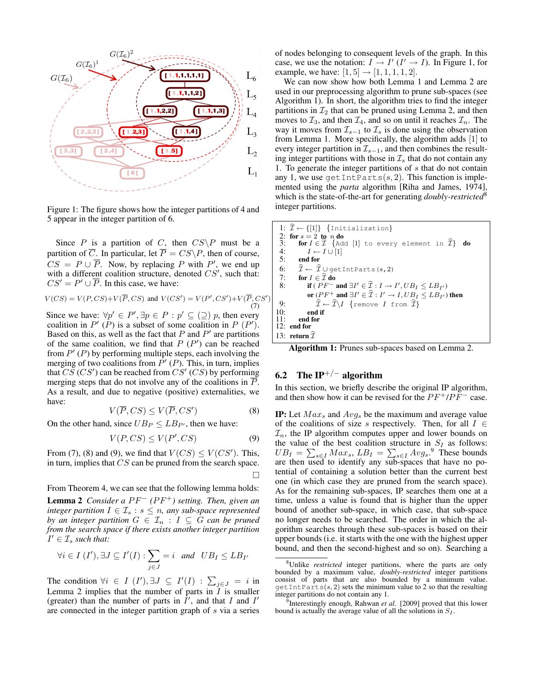

Figure 1: The figure shows how the integer partitions of 4 and 5 appear in the integer partition of 6.

Since P is a partition of C, then  $CS\$ P must be a partition of  $\overline{C}$ . In particular, let  $\overline{P} = CS\backslash P$ , then of course,  $CS = P \cup \overline{P}$ . Now, by replacing P with P', we end up with a different coalition structure, denoted  $CS'$ , such that:  $CS' = P' \cup \overline{P}$ . In this case, we have:

$$
V(CS) = V(P, CS) + V(\overline{P}, CS) \text{ and } V(CS') = V(P', CS') + V(\overline{P}, CS')
$$
  
(7)

Since we have:  $\forall p' \in P', \exists p \in P : p' \subseteq (\supseteq) p$ , then every coalition in  $P'(P)$  is a subset of some coalition in  $P(P')$ . Based on this, as well as the fact that  $P$  and  $P'$  are partitions of the same coalition, we find that  $P(P')$  can be reached from  $P'$  (P) by performing multiple steps, each involving the merging of two coalitions from  $P' (P)$ . This, in turn, implies that  $\overline{CS}'$  (CS') can be reached from  $\overline{CS}'$  (CS) by performing merging steps that do not involve any of the coalitions in P. As a result, and due to negative (positive) externalities, we have:

$$
V(\overline{P}, CS) \le V(\overline{P}, CS') \tag{8}
$$

On the other hand, since  $UB_P \leq LB_{P'}$ , then we have:

$$
V(P, CS) \le V(P', CS) \tag{9}
$$

From (7), (8) and (9), we find that  $V(CS) \le V(CS')$ . This, in turn, implies that CS can be pruned from the search space.  $\Box$ 

From Theorem 4, we can see that the following lemma holds:

**Lemma 2** *Consider a PF<sup>* $-$ *</sup> (PF<sup>* $+$ *</sup>) setting. Then, given an integer partition*  $I \in \mathcal{I}_s : s \leq n$ , any sub-space represented *by an integer partition*  $G \in \mathcal{I}_n : I \subseteq G$  *can be pruned from the search space if there exists another integer partition*  $I' \in \mathcal{I}_s$  such that:

$$
\forall i \in I \ (I'), \exists J \subseteq I'(I): \sum_{j \in J} = i \ and \ UB_I \le LB_{I'}
$$

The condition  $\forall i \in I \ (I'), \exists J \subseteq I'(I) : \sum_{j \in J} = i$  in Lemma 2 implies that the number of parts in  $\overline{I}$  is smaller (greater) than the number of parts in  $\hat{I}'$ , and that I and I' are connected in the integer partition graph of s via a series of nodes belonging to consequent levels of the graph. In this case, we use the notation:  $I \rightarrow I'$  ( $I' \rightarrow I$ ). In Figure 1, for example, we have:  $[1, 5] \rightarrow [1, 1, 1, 1, 2]$ .

We can now show how both Lemma 1 and Lemma 2 are used in our preprocessing algorithm to prune sub-spaces (see Algorithm 1). In short, the algorithm tries to find the integer partitions in  $\mathcal{I}_2$  that can be pruned using Lemma 2, and then moves to  $\mathcal{I}_3$ , and then  $\mathcal{I}_4$ , and so on until it reaches  $\mathcal{I}_n$ . The way it moves from  $\mathcal{I}_{s-1}$  to  $\mathcal{I}_s$  is done using the observation from Lemma 1. More specifically, the algorithm adds [1] to every integer partition in  $\mathcal{I}_{s-1}$ , and then combines the resulting integer partitions with those in  $\mathcal{I}_s$  that do not contain any 1. To generate the integer partitions of  $s$  that do not contain any 1, we use  $\text{getIntParts}(s, 2)$ . This function is implemented using the *parta* algorithm [Riha and James, 1974], which is the state-of-the-art for generating *doubly-restricted*<sup>8</sup> integer partitions.

1: 
$$
\hat{\mathcal{I}} \leftarrow \{[1]\}
$$
 {Initialization}  
\n2: for  $s = 2$  to *n* do  
\n3: for  $I \in \hat{\mathcal{I}}$  {Add [1] to every element in  $\hat{\mathcal{I}}$ } do  
\n4:  $I \leftarrow I \cup [1]$   
\n5: end for  
\n6:  $\hat{\mathcal{I}} \leftarrow \hat{\mathcal{I}} \cup \text{getIntParts}(s, 2)$   
\n7: for  $I \in \hat{\mathcal{I}}$  do  
\n8: if  $(PF^-$  and  $\exists I' \in \hat{\mathcal{I}} : I \rightarrow I', UB_I \leq LB_{I'})$   
\nor  $(PF^+$  and  $\exists I' \in \hat{\mathcal{I}} : I' \rightarrow I, UB_I \leq LB_{I'})$  then  
\n9:  $\hat{\mathcal{I}} \leftarrow \hat{\mathcal{I}} \setminus I$  {remove I from  $\hat{\mathcal{I}}$ }  
\n10: end if  
\n11: end for  
\n12: end for  
\n13: return  $\hat{\mathcal{I}}$ 

Algorithm 1: Prunes sub-spaces based on Lemma 2.

# 6.2 The IP<sup>+/−</sup> algorithm

)

In this section, we briefly describe the original IP algorithm, and then show how it can be revised for the  $PF^+/PF^-$  case.

**IP:** Let  $Max_s$  and  $Avg_s$  be the maximum and average value of the coalitions of size s respectively. Then, for all  $I \in$  $\mathcal{I}_n$ , the IP algorithm computes upper and lower bounds on the value of the best coalition structure in  $S_I$  as follows:  $UB_I = \sum_{s \in I} Max_s$ ,  $LB_I = \sum_{s \in I} Avg_s$ .<sup>9</sup> These bounds are then used to identify any sub-spaces that have no potential of containing a solution better than the current best one (in which case they are pruned from the search space). As for the remaining sub-spaces, IP searches them one at a time, unless a value is found that is higher than the upper bound of another sub-space, in which case, that sub-space no longer needs to be searched. The order in which the algorithm searches through these sub-spaces is based on their upper bounds (i.e. it starts with the one with the highest upper bound, and then the second-highest and so on). Searching a

<sup>8</sup>Unlike *restricted* integer partitions, where the parts are only bounded by a maximum value, *doubly-restricted* integer partitions consist of parts that are also bounded by a minimum value.  $\text{getIntParts}(s, 2)$  sets the minimum value to 2 so that the resulting integer partitions do not contain any 1.

<sup>&</sup>lt;sup>9</sup>Interestingly enough, Rahwan et al. [2009] proved that this lower bound is actually the average value of all the solutions in  $S_I$ .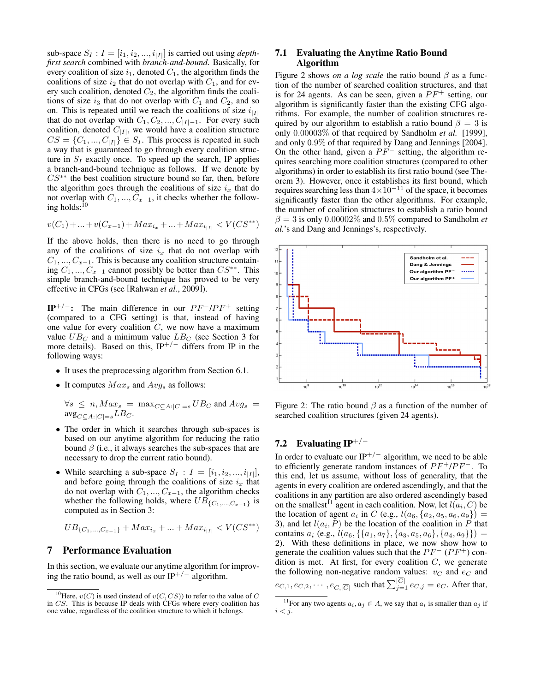sub-space  $S_I: I = [i_1, i_2, ..., i_{|I|}]$  is carried out using *depthfirst search* combined with *branch-and-bound*. Basically, for every coalition of size  $i_1$ , denoted  $C_1$ , the algorithm finds the coalitions of size  $i_2$  that do not overlap with  $C_1$ , and for every such coalition, denoted  $C_2$ , the algorithm finds the coalitions of size  $i_3$  that do not overlap with  $C_1$  and  $C_2$ , and so on. This is repeated until we reach the coalitions of size  $i_{|I|}$ that do not overlap with  $C_1, C_2, ..., C_{|I|-1}$ . For every such coalition, denoted  $C_{|I|}$ , we would have a coalition structure  $CS = \{C_1, ..., C_{|I|}\} \in S_I$ . This process is repeated in such a way that is guaranteed to go through every coalition structure in  $S_I$  exactly once. To speed up the search, IP applies a branch-and-bound technique as follows. If we denote by  $CS^*$ <sup>\*</sup> the best coalition structure bound so far, then, before the algorithm goes through the coalitions of size  $i_x$  that do not overlap with  $C_1, ..., C_{x-1}$ , it checks whether the following holds: $^{10}$ 

$$
v(C_1) + \ldots + v(C_{x-1}) + Max_{i_x} + \ldots + Max_{i_{|I|}} < V(CS^{**})
$$

If the above holds, then there is no need to go through any of the coalitions of size  $i_x$  that do not overlap with  $C_1, ..., C_{x-1}$ . This is because any coalition structure containing  $C_1, ..., C_{x-1}$  cannot possibly be better than  $CS^{**}$ . This simple branch-and-bound technique has proved to be very effective in CFGs (see [Rahwan *et al.*, 2009]).

 $IP^{+/-}$ : The main difference in our  $PF^{-}/PF^{+}$  setting (compared to a CFG setting) is that, instead of having one value for every coalition  $C$ , we now have a maximum value  $UB_C$  and a minimum value  $LB_C$  (see Section 3 for more details). Based on this,  $IP^{+/-}$  differs from IP in the following ways:

- It uses the preprocessing algorithm from Section 6.1.
- It computes  $Max_s$  and  $Avg_s$  as follows:

$$
\forall s \leq n, Max_s = \max_{C \subseteq A: |C| = s} UB_C \text{ and } Avg_s = \text{avg}_{C \subseteq A: |C| = s} LB_C.
$$

- The order in which it searches through sub-spaces is based on our anytime algorithm for reducing the ratio bound  $\beta$  (i.e., it always searches the sub-spaces that are necessary to drop the current ratio bound).
- While searching a sub-space  $S_I : I = [i_1, i_2, ..., i_{|I|}],$ and before going through the coalitions of size  $i_x$  that do not overlap with  $C_1, ..., C_{x-1}$ , the algorithm checks whether the following holds, where  $UB_{\{C_1,...,C_{x-1}\}}$  is computed as in Section 3:

$$
UB_{\{C_1, \dots, C_{x-1}\}} + Max_{i_x} + \dots + Max_{i_{|I|}} < V(CS^{**})
$$

#### 7 Performance Evaluation

In this section, we evaluate our anytime algorithm for improving the ratio bound, as well as our IP<sup>+/-</sup> algorithm.

#### 7.1 Evaluating the Anytime Ratio Bound Algorithm

Figure 2 shows *on a log scale* the ratio bound  $\beta$  as a function of the number of searched coalition structures, and that is for 24 agents. As can be seen, given a  $PF^+$  setting, our algorithm is significantly faster than the existing CFG algorithms. For example, the number of coalition structures required by our algorithm to establish a ratio bound  $\beta = 3$  is only 0.00003% of that required by Sandholm *et al.* [1999], and only 0.9% of that required by Dang and Jennings [2004]. On the other hand, given a  $PF^-$  setting, the algorithm requires searching more coalition structures (compared to other algorithms) in order to establish its first ratio bound (see Theorem 3). However, once it establishes its first bound, which requires searching less than  $4\times10^{-11}$  of the space, it becomes significantly faster than the other algorithms. For example, the number of coalition structures to establish a ratio bound  $\beta = 3$  is only 0.00002\% and 0.5\% compared to Sandholm *et al.*'s and Dang and Jennings's, respectively.



Figure 2: The ratio bound  $\beta$  as a function of the number of searched coalition structures (given 24 agents).

# 7.2 Evaluating IP+/<sup>−</sup>

In order to evaluate our IP<sup>+/-</sup> algorithm, we need to be able to efficiently generate random instances of  $PF^+/PF^-$ . To this end, let us assume, without loss of generality, that the agents in every coalition are ordered ascendingly, and that the coalitions in any partition are also ordered ascendingly based on the smallest<sup>11</sup> agent in each coalition. Now, let  $l(a_i, C)$  be the location of agent  $a_i$  in C (e.g.,  $l(a_6, {a_2, a_5, a_6, a_9})$ ) = 3), and let  $l(a_i, P)$  be the location of the coalition in P that contains  $a_i$  (e.g.,  $l(a_6, \{\{a_1, a_7\}, \{a_3, a_5, a_6\}, \{a_4, a_9\}\})$  = 2). With these definitions in place, we now show how to generate the coalition values such that the  $PF^{-}(PF^{+})$  condition is met. At first, for every coalition  $C$ , we generate the following non-negative random values:  $v_C$  and  $e_C$  and  $e_{C,1}, e_{C,2}, \cdots, e_{C,|\overline{C}|}$  such that  $\sum_{j=1}^{|C|} e_{C,j} = e_C$ . After that,

<sup>&</sup>lt;sup>10</sup>Here,  $v(C)$  is used (instead of  $v(C, CS)$ ) to refer to the value of C in CS. This is because IP deals with CFGs where every coalition has one value, regardless of the coalition structure to which it belongs.

<sup>&</sup>lt;sup>11</sup>For any two agents  $a_i, a_j \in A$ , we say that  $a_i$  is smaller than  $a_j$  if  $i < j$ .